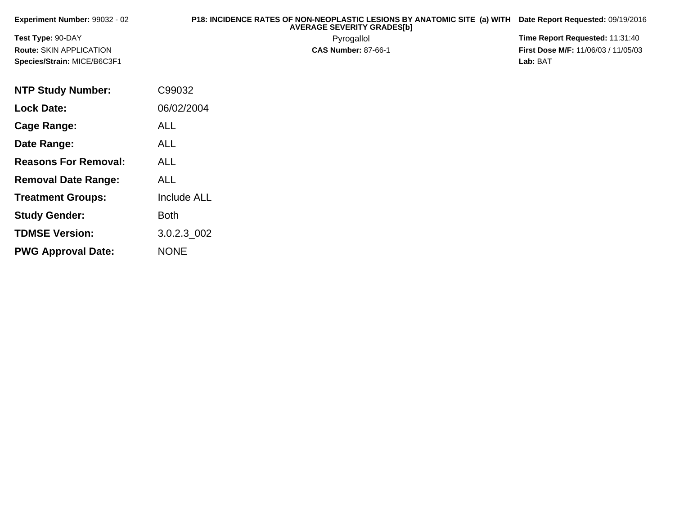| Experiment Number: 99032 - 02  | P18: INCIDENCE RATES OF NON-NEOPLASTIC LESIONS BY ANATOMIC SITE (a) WITH Date Report Requested: 09/19/2016<br><b>AVERAGE SEVERITY GRADESIbI</b> |                                            |
|--------------------------------|-------------------------------------------------------------------------------------------------------------------------------------------------|--------------------------------------------|
| <b>Test Type: 90-DAY</b>       | Pyrogallol                                                                                                                                      | Time Report Requested: 11:31:40            |
| <b>Route: SKIN APPLICATION</b> | <b>CAS Number: 87-66-1</b>                                                                                                                      | <b>First Dose M/F: 11/06/03 / 11/05/03</b> |
| Species/Strain: MICE/B6C3F1    |                                                                                                                                                 | Lab: BAT                                   |
| <b>NTP Study Number:</b>       | C99032                                                                                                                                          |                                            |

**Lock Date:**

**Cage Range:**

**Date Range:**

**Reasons For Removal:**

**Removal Date Range:**

**Treatment Groups:**

**Study Gender:**

**TDMSE Version:**

**PWG Approval Date:**

06/02/2004

Include ALL

3.0.2.3\_002

ALL

ALL

ALL

ALL

Both

NONE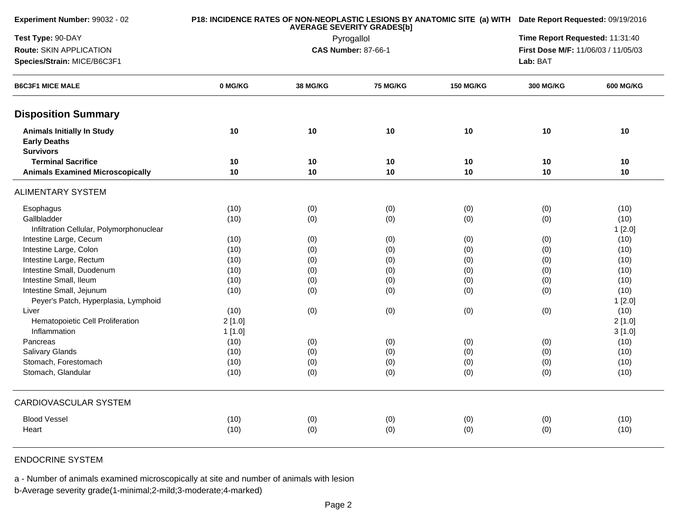| Experiment Number: 99032 - 02                                                |         | <b>AVERAGE SEVERITY GRADES[b]</b> | P18: INCIDENCE RATES OF NON-NEOPLASTIC LESIONS BY ANATOMIC SITE (a) WITH Date Report Requested: 09/19/2016 |                  |                                                                        |           |  |  |
|------------------------------------------------------------------------------|---------|-----------------------------------|------------------------------------------------------------------------------------------------------------|------------------|------------------------------------------------------------------------|-----------|--|--|
| Test Type: 90-DAY                                                            |         |                                   | Pyrogallol                                                                                                 |                  | Time Report Requested: 11:31:40<br>First Dose M/F: 11/06/03 / 11/05/03 |           |  |  |
| Route: SKIN APPLICATION                                                      |         |                                   | <b>CAS Number: 87-66-1</b>                                                                                 |                  |                                                                        |           |  |  |
| Species/Strain: MICE/B6C3F1                                                  |         |                                   |                                                                                                            |                  | Lab: BAT                                                               |           |  |  |
| <b>B6C3F1 MICE MALE</b>                                                      | 0 MG/KG | 38 MG/KG                          | 75 MG/KG                                                                                                   | <b>150 MG/KG</b> | 300 MG/KG                                                              | 600 MG/KG |  |  |
| <b>Disposition Summary</b>                                                   |         |                                   |                                                                                                            |                  |                                                                        |           |  |  |
| <b>Animals Initially In Study</b><br><b>Early Deaths</b><br><b>Survivors</b> | 10      | 10                                | 10                                                                                                         | 10               | 10                                                                     | 10        |  |  |
| <b>Terminal Sacrifice</b>                                                    | 10      | 10                                | 10                                                                                                         | 10               | 10                                                                     | 10        |  |  |
| <b>Animals Examined Microscopically</b>                                      | 10      | 10                                | 10                                                                                                         | 10               | 10                                                                     | 10        |  |  |
| <b>ALIMENTARY SYSTEM</b>                                                     |         |                                   |                                                                                                            |                  |                                                                        |           |  |  |
| Esophagus                                                                    | (10)    | (0)                               | (0)                                                                                                        | (0)              | (0)                                                                    | (10)      |  |  |
| Gallbladder                                                                  | (10)    | (0)                               | (0)                                                                                                        | (0)              | (0)                                                                    | (10)      |  |  |
| Infiltration Cellular, Polymorphonuclear                                     |         |                                   |                                                                                                            |                  |                                                                        | 1[2.0]    |  |  |
| Intestine Large, Cecum                                                       | (10)    | (0)                               | (0)                                                                                                        | (0)              | (0)                                                                    | (10)      |  |  |
| Intestine Large, Colon                                                       | (10)    | (0)                               | (0)                                                                                                        | (0)              | (0)                                                                    | (10)      |  |  |
| Intestine Large, Rectum                                                      | (10)    | (0)                               | (0)                                                                                                        | (0)              | (0)                                                                    | (10)      |  |  |
| Intestine Small, Duodenum                                                    | (10)    | (0)                               | (0)                                                                                                        | (0)              | (0)                                                                    | (10)      |  |  |
| Intestine Small, Ileum                                                       | (10)    | (0)                               | (0)                                                                                                        | (0)              | (0)                                                                    | (10)      |  |  |
| Intestine Small, Jejunum                                                     | (10)    | (0)                               | (0)                                                                                                        | (0)              | (0)                                                                    | (10)      |  |  |
| Peyer's Patch, Hyperplasia, Lymphoid                                         |         |                                   |                                                                                                            |                  |                                                                        | 1[2.0]    |  |  |
| Liver                                                                        | (10)    | (0)                               | (0)                                                                                                        | (0)              | (0)                                                                    | (10)      |  |  |
| Hematopoietic Cell Proliferation                                             | 2[1.0]  |                                   |                                                                                                            |                  |                                                                        | 2[1.0]    |  |  |
| Inflammation                                                                 | 1[1.0]  |                                   |                                                                                                            |                  |                                                                        | 3[1.0]    |  |  |
| Pancreas                                                                     | (10)    | (0)                               | (0)                                                                                                        | (0)              | (0)                                                                    | (10)      |  |  |
| Salivary Glands                                                              | (10)    | (0)                               | (0)                                                                                                        | (0)              | (0)                                                                    | (10)      |  |  |
| Stomach, Forestomach                                                         | (10)    | (0)                               | (0)                                                                                                        | (0)              | (0)                                                                    | (10)      |  |  |
| Stomach, Glandular                                                           | (10)    | (0)                               | (0)                                                                                                        | (0)              | (0)                                                                    | (10)      |  |  |
| <b>CARDIOVASCULAR SYSTEM</b>                                                 |         |                                   |                                                                                                            |                  |                                                                        |           |  |  |
| <b>Blood Vessel</b>                                                          | (10)    | (0)                               | (0)                                                                                                        | (0)              | (0)                                                                    | (10)      |  |  |
| Heart                                                                        | (10)    | (0)                               | (0)                                                                                                        | (0)              | (0)                                                                    | (10)      |  |  |
|                                                                              |         |                                   |                                                                                                            |                  |                                                                        |           |  |  |

## ENDOCRINE SYSTEM

a - Number of animals examined microscopically at site and number of animals with lesion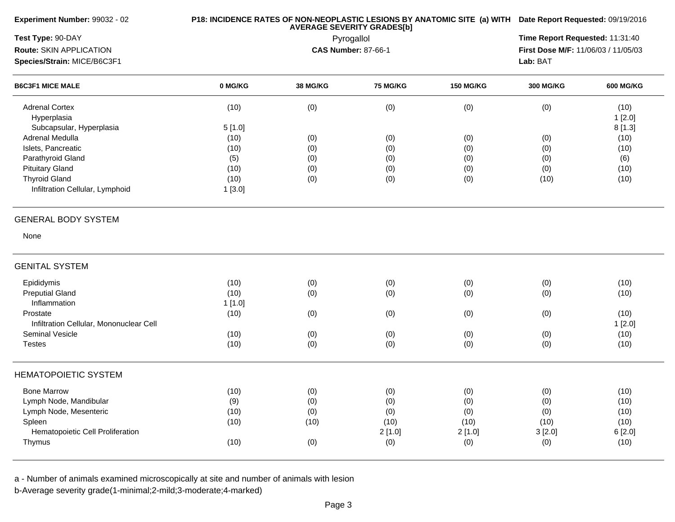| Experiment Number: 99032 - 02           |         |          | <b>AVERAGE SEVERITY GRADES[b]</b> |                  | P18: INCIDENCE RATES OF NON-NEOPLASTIC LESIONS BY ANATOMIC SITE (a) WITH Date Report Requested: 09/19/2016<br>Time Report Requested: 11:31:40<br>First Dose M/F: 11/06/03 / 11/05/03<br>Lab: BAT<br><b>300 MG/KG</b><br><b>600 MG/KG</b><br>(0)<br>(10)<br>1[2.0]<br>8[1.3]<br>(0)<br>(10)<br>(0)<br>(10)<br>(0)<br>(6)<br>(0)<br>(10) |        |  |  |
|-----------------------------------------|---------|----------|-----------------------------------|------------------|----------------------------------------------------------------------------------------------------------------------------------------------------------------------------------------------------------------------------------------------------------------------------------------------------------------------------------------|--------|--|--|
| Test Type: 90-DAY                       |         |          | Pyrogallol                        |                  |                                                                                                                                                                                                                                                                                                                                        |        |  |  |
| Route: SKIN APPLICATION                 |         |          | <b>CAS Number: 87-66-1</b>        |                  |                                                                                                                                                                                                                                                                                                                                        |        |  |  |
| Species/Strain: MICE/B6C3F1             |         |          |                                   |                  |                                                                                                                                                                                                                                                                                                                                        |        |  |  |
| <b>B6C3F1 MICE MALE</b>                 | 0 MG/KG | 38 MG/KG | 75 MG/KG                          | <b>150 MG/KG</b> |                                                                                                                                                                                                                                                                                                                                        |        |  |  |
| <b>Adrenal Cortex</b>                   | (10)    | (0)      | (0)                               | (0)              |                                                                                                                                                                                                                                                                                                                                        |        |  |  |
| Hyperplasia                             |         |          |                                   |                  |                                                                                                                                                                                                                                                                                                                                        |        |  |  |
| Subcapsular, Hyperplasia                | 5[1.0]  |          |                                   |                  |                                                                                                                                                                                                                                                                                                                                        |        |  |  |
| Adrenal Medulla                         | (10)    | (0)      | (0)                               | (0)              |                                                                                                                                                                                                                                                                                                                                        |        |  |  |
| Islets, Pancreatic                      | (10)    | (0)      | (0)                               | (0)              |                                                                                                                                                                                                                                                                                                                                        |        |  |  |
| Parathyroid Gland                       | (5)     | (0)      | (0)                               | (0)              |                                                                                                                                                                                                                                                                                                                                        |        |  |  |
| <b>Pituitary Gland</b>                  | (10)    | (0)      | (0)                               | (0)              |                                                                                                                                                                                                                                                                                                                                        |        |  |  |
| <b>Thyroid Gland</b>                    | (10)    | (0)      | (0)                               | (0)              | (10)                                                                                                                                                                                                                                                                                                                                   | (10)   |  |  |
| Infiltration Cellular, Lymphoid         | 1[3.0]  |          |                                   |                  |                                                                                                                                                                                                                                                                                                                                        |        |  |  |
| <b>GENERAL BODY SYSTEM</b>              |         |          |                                   |                  |                                                                                                                                                                                                                                                                                                                                        |        |  |  |
| None                                    |         |          |                                   |                  |                                                                                                                                                                                                                                                                                                                                        |        |  |  |
| <b>GENITAL SYSTEM</b>                   |         |          |                                   |                  |                                                                                                                                                                                                                                                                                                                                        |        |  |  |
| Epididymis                              | (10)    | (0)      | (0)                               | (0)              | (0)                                                                                                                                                                                                                                                                                                                                    | (10)   |  |  |
| <b>Preputial Gland</b>                  | (10)    | (0)      | (0)                               | (0)              | (0)                                                                                                                                                                                                                                                                                                                                    | (10)   |  |  |
| Inflammation                            | 1[1.0]  |          |                                   |                  |                                                                                                                                                                                                                                                                                                                                        |        |  |  |
| Prostate                                | (10)    | (0)      | (0)                               | (0)              | (0)                                                                                                                                                                                                                                                                                                                                    | (10)   |  |  |
| Infiltration Cellular, Mononuclear Cell |         |          |                                   |                  |                                                                                                                                                                                                                                                                                                                                        | 1[2.0] |  |  |
| <b>Seminal Vesicle</b>                  | (10)    | (0)      | (0)                               | (0)              | (0)                                                                                                                                                                                                                                                                                                                                    | (10)   |  |  |
| <b>Testes</b>                           | (10)    | (0)      | (0)                               | (0)              | (0)                                                                                                                                                                                                                                                                                                                                    | (10)   |  |  |
| <b>HEMATOPOIETIC SYSTEM</b>             |         |          |                                   |                  |                                                                                                                                                                                                                                                                                                                                        |        |  |  |
| <b>Bone Marrow</b>                      | (10)    | (0)      | (0)                               | (0)              | (0)                                                                                                                                                                                                                                                                                                                                    | (10)   |  |  |
| Lymph Node, Mandibular                  | (9)     | (0)      | (0)                               | (0)              | (0)                                                                                                                                                                                                                                                                                                                                    | (10)   |  |  |
| Lymph Node, Mesenteric                  | (10)    | (0)      | (0)                               | (0)              | (0)                                                                                                                                                                                                                                                                                                                                    | (10)   |  |  |
| Spleen                                  | (10)    | (10)     | (10)                              | (10)             | (10)                                                                                                                                                                                                                                                                                                                                   | (10)   |  |  |
| Hematopoietic Cell Proliferation        |         |          | 2[1.0]                            | 2[1.0]           | 3[2.0]                                                                                                                                                                                                                                                                                                                                 | 6[2.0] |  |  |
| Thymus                                  | (10)    | (0)      | (0)                               | (0)              | (0)                                                                                                                                                                                                                                                                                                                                    | (10)   |  |  |
|                                         |         |          |                                   |                  |                                                                                                                                                                                                                                                                                                                                        |        |  |  |

a - Number of animals examined microscopically at site and number of animals with lesion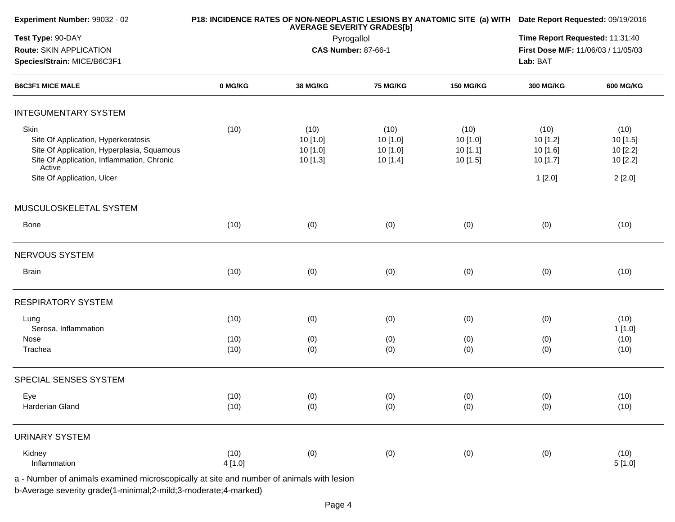| Experiment Number: 99032 - 02                                                                                                                                                   |                | <b>AVERAGE SEVERITY GRADES[b]</b>        | P18: INCIDENCE RATES OF NON-NEOPLASTIC LESIONS BY ANATOMIC SITE (a) WITH Date Report Requested: 09/19/2016 |                                        |                                                    |                                                    |  |
|---------------------------------------------------------------------------------------------------------------------------------------------------------------------------------|----------------|------------------------------------------|------------------------------------------------------------------------------------------------------------|----------------------------------------|----------------------------------------------------|----------------------------------------------------|--|
| Test Type: 90-DAY                                                                                                                                                               |                |                                          | Pyrogallol                                                                                                 |                                        | Time Report Requested: 11:31:40                    |                                                    |  |
| Route: SKIN APPLICATION                                                                                                                                                         |                |                                          | <b>CAS Number: 87-66-1</b>                                                                                 |                                        | First Dose M/F: 11/06/03 / 11/05/03                |                                                    |  |
| Species/Strain: MICE/B6C3F1                                                                                                                                                     |                |                                          | Lab: BAT                                                                                                   |                                        |                                                    |                                                    |  |
| <b>B6C3F1 MICE MALE</b>                                                                                                                                                         | 0 MG/KG        | 38 MG/KG                                 | <b>75 MG/KG</b>                                                                                            | <b>150 MG/KG</b>                       | <b>300 MG/KG</b>                                   | <b>600 MG/KG</b>                                   |  |
| <b>INTEGUMENTARY SYSTEM</b>                                                                                                                                                     |                |                                          |                                                                                                            |                                        |                                                    |                                                    |  |
| Skin<br>Site Of Application, Hyperkeratosis<br>Site Of Application, Hyperplasia, Squamous<br>Site Of Application, Inflammation, Chronic<br>Active<br>Site Of Application, Ulcer | (10)           | (10)<br>10 [1.0]<br>10 [1.0]<br>10 [1.3] | (10)<br>10[1.0]<br>10[1.0]<br>10 [1.4]                                                                     | (10)<br>10[1.0]<br>10[1.1]<br>10 [1.5] | (10)<br>10 [1.2]<br>10 [1.6]<br>10 [1.7]<br>1[2.0] | (10)<br>10 [1.5]<br>10 [2.2]<br>10 [2.2]<br>2[2.0] |  |
| MUSCULOSKELETAL SYSTEM                                                                                                                                                          |                |                                          |                                                                                                            |                                        |                                                    |                                                    |  |
| Bone                                                                                                                                                                            | (10)           | (0)                                      | (0)                                                                                                        | (0)                                    | (0)                                                | (10)                                               |  |
| NERVOUS SYSTEM                                                                                                                                                                  |                |                                          |                                                                                                            |                                        |                                                    |                                                    |  |
| Brain                                                                                                                                                                           | (10)           | (0)                                      | (0)                                                                                                        | (0)                                    | (0)                                                | (10)                                               |  |
| <b>RESPIRATORY SYSTEM</b>                                                                                                                                                       |                |                                          |                                                                                                            |                                        |                                                    |                                                    |  |
| Lung<br>Serosa, Inflammation                                                                                                                                                    | (10)           | (0)                                      | (0)                                                                                                        | (0)                                    | (0)                                                | (10)<br>1 [1.0]                                    |  |
| Nose<br>Trachea                                                                                                                                                                 | (10)<br>(10)   | (0)<br>(0)                               | (0)<br>(0)                                                                                                 | (0)<br>(0)                             | (0)<br>(0)                                         | (10)<br>(10)                                       |  |
| SPECIAL SENSES SYSTEM                                                                                                                                                           |                |                                          |                                                                                                            |                                        |                                                    |                                                    |  |
| Eye<br>Harderian Gland                                                                                                                                                          | (10)<br>(10)   | (0)<br>(0)                               | (0)<br>(0)                                                                                                 | (0)<br>(0)                             | (0)<br>(0)                                         | (10)<br>(10)                                       |  |
| <b>URINARY SYSTEM</b>                                                                                                                                                           |                |                                          |                                                                                                            |                                        |                                                    |                                                    |  |
| Kidney<br>Inflammation<br>a - Number of animals examined microscopically at site and number of animals with lesion                                                              | (10)<br>4[1.0] | (0)                                      | (0)                                                                                                        | (0)                                    | (0)                                                | (10)<br>5[1.0]                                     |  |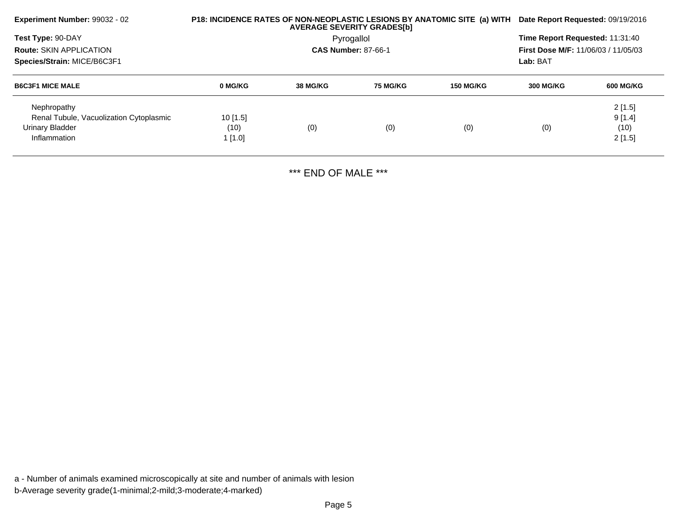| Experiment Number: 99032 - 02                          |                    |                 | <b>AVERAGE SEVERITY GRADES[b]</b> | P18: INCIDENCE RATES OF NON-NEOPLASTIC LESIONS BY ANATOMIC SITE (a) WITH Date Report Requested: 09/19/2016 |                                            |                                                        |  |  |
|--------------------------------------------------------|--------------------|-----------------|-----------------------------------|------------------------------------------------------------------------------------------------------------|--------------------------------------------|--------------------------------------------------------|--|--|
| Test Type: 90-DAY                                      |                    |                 | Pyrogallol                        |                                                                                                            | Time Report Requested: 11:31:40            |                                                        |  |  |
| <b>Route: SKIN APPLICATION</b>                         |                    |                 | <b>CAS Number: 87-66-1</b>        |                                                                                                            | <b>First Dose M/F: 11/06/03 / 11/05/03</b> |                                                        |  |  |
| Species/Strain: MICE/B6C3F1                            |                    |                 |                                   |                                                                                                            | Lab: BAT                                   | <b>600 MG/KG</b><br>2[1.5]<br>9[1.4]<br>(10)<br>2[1.5] |  |  |
| <b>B6C3F1 MICE MALE</b>                                | 0 MG/KG            | <b>38 MG/KG</b> | <b>75 MG/KG</b>                   | <b>150 MG/KG</b>                                                                                           | <b>300 MG/KG</b>                           |                                                        |  |  |
| Nephropathy<br>Renal Tubule, Vacuolization Cytoplasmic |                    |                 |                                   |                                                                                                            |                                            |                                                        |  |  |
| Urinary Bladder                                        | $10$ [1.5]<br>(10) | (0)             | (0)                               | (0)                                                                                                        | (0)                                        |                                                        |  |  |
| Inflammation                                           | 1 [1.0]            |                 |                                   |                                                                                                            |                                            |                                                        |  |  |
|                                                        |                    |                 |                                   |                                                                                                            |                                            |                                                        |  |  |

\*\*\* END OF MALE \*\*\*

a - Number of animals examined microscopically at site and number of animals with lesionb-Average severity grade(1-minimal;2-mild;3-moderate;4-marked)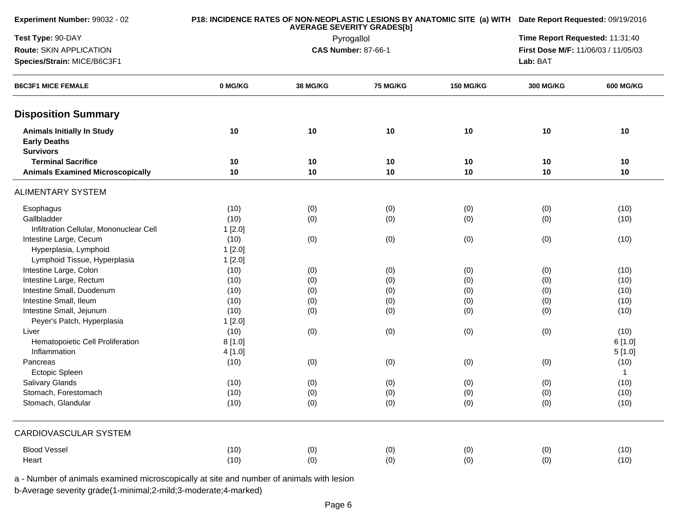| Experiment Number: 99032 - 02                                                |         | <b>AVERAGE SEVERITY GRADES[b]</b>                                 |                 | P18: INCIDENCE RATES OF NON-NEOPLASTIC LESIONS BY ANATOMIC SITE (a) WITH Date Report Requested: 09/19/2016 |                                 |                  |  |  |
|------------------------------------------------------------------------------|---------|-------------------------------------------------------------------|-----------------|------------------------------------------------------------------------------------------------------------|---------------------------------|------------------|--|--|
| Test Type: 90-DAY                                                            |         |                                                                   | Pyrogallol      |                                                                                                            | Time Report Requested: 11:31:40 |                  |  |  |
| Route: SKIN APPLICATION                                                      |         | <b>CAS Number: 87-66-1</b><br>First Dose M/F: 11/06/03 / 11/05/03 |                 |                                                                                                            |                                 |                  |  |  |
| Species/Strain: MICE/B6C3F1<br><b>B6C3F1 MICE FEMALE</b>                     |         |                                                                   |                 |                                                                                                            | Lab: BAT                        |                  |  |  |
|                                                                              | 0 MG/KG | 38 MG/KG                                                          | <b>75 MG/KG</b> | <b>150 MG/KG</b>                                                                                           | <b>300 MG/KG</b>                | <b>600 MG/KG</b> |  |  |
| <b>Disposition Summary</b>                                                   |         |                                                                   |                 |                                                                                                            |                                 |                  |  |  |
| <b>Animals Initially In Study</b><br><b>Early Deaths</b><br><b>Survivors</b> | 10      | 10                                                                | 10              | 10                                                                                                         | 10                              | 10               |  |  |
| <b>Terminal Sacrifice</b>                                                    | 10      | 10                                                                | 10              | 10                                                                                                         | 10                              | 10               |  |  |
| <b>Animals Examined Microscopically</b>                                      | 10      | 10                                                                | 10              | 10                                                                                                         | 10                              | 10               |  |  |
| <b>ALIMENTARY SYSTEM</b>                                                     |         |                                                                   |                 |                                                                                                            |                                 |                  |  |  |
| Esophagus                                                                    | (10)    | (0)                                                               | (0)             | (0)                                                                                                        | (0)                             | (10)             |  |  |
| Gallbladder                                                                  | (10)    | (0)                                                               | (0)             | (0)                                                                                                        | (0)                             | (10)             |  |  |
| Infiltration Cellular, Mononuclear Cell                                      | 1[2.0]  |                                                                   |                 |                                                                                                            |                                 |                  |  |  |
| Intestine Large, Cecum                                                       | (10)    | (0)                                                               | (0)             | (0)                                                                                                        | (0)                             | (10)             |  |  |
| Hyperplasia, Lymphoid                                                        | 1[2.0]  |                                                                   |                 |                                                                                                            |                                 |                  |  |  |
| Lymphoid Tissue, Hyperplasia                                                 | 1[2.0]  |                                                                   |                 |                                                                                                            |                                 |                  |  |  |
| Intestine Large, Colon                                                       | (10)    | (0)                                                               | (0)             | (0)                                                                                                        | (0)                             | (10)             |  |  |
| Intestine Large, Rectum                                                      | (10)    | (0)                                                               | (0)             | (0)                                                                                                        | (0)                             | (10)             |  |  |
| Intestine Small, Duodenum                                                    | (10)    | (0)                                                               | (0)             | (0)                                                                                                        | (0)                             | (10)             |  |  |
| Intestine Small, Ileum                                                       | (10)    | (0)                                                               | (0)             | (0)                                                                                                        | (0)                             | (10)             |  |  |
| Intestine Small, Jejunum                                                     | (10)    | (0)                                                               | (0)             | (0)                                                                                                        | (0)                             | (10)             |  |  |
| Peyer's Patch, Hyperplasia                                                   | 1[2.0]  |                                                                   |                 |                                                                                                            |                                 |                  |  |  |
| Liver                                                                        | (10)    | (0)                                                               | (0)             | (0)                                                                                                        | (0)                             | (10)             |  |  |
| Hematopoietic Cell Proliferation                                             | 8[1.0]  |                                                                   |                 |                                                                                                            |                                 | 6[1.0]           |  |  |
| Inflammation                                                                 | 4[1.0]  |                                                                   |                 |                                                                                                            |                                 | 5[1.0]           |  |  |
| Pancreas                                                                     | (10)    | (0)                                                               | (0)             | (0)                                                                                                        | (0)                             | (10)             |  |  |
| Ectopic Spleen                                                               |         |                                                                   |                 |                                                                                                            |                                 | $\mathbf{1}$     |  |  |
| Salivary Glands                                                              | (10)    | (0)                                                               | (0)             | (0)                                                                                                        | (0)                             | (10)             |  |  |
| Stomach, Forestomach                                                         | (10)    | (0)                                                               | (0)             | (0)                                                                                                        | (0)                             | (10)             |  |  |
| Stomach, Glandular                                                           | (10)    | (0)                                                               | (0)             | (0)                                                                                                        | (0)                             | (10)             |  |  |
| CARDIOVASCULAR SYSTEM                                                        |         |                                                                   |                 |                                                                                                            |                                 |                  |  |  |
| <b>Blood Vessel</b>                                                          | (10)    | (0)                                                               | (0)             | (0)                                                                                                        | (0)                             | (10)             |  |  |
| Heart                                                                        | (10)    | (0)                                                               | (0)             | (0)                                                                                                        | (0)                             | (10)             |  |  |
|                                                                              |         |                                                                   |                 |                                                                                                            |                                 |                  |  |  |

a - Number of animals examined microscopically at site and number of animals with lesion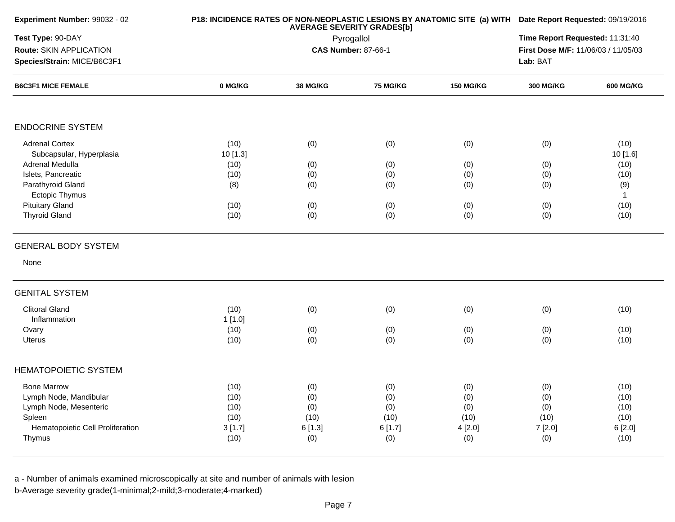| Experiment Number: 99032 - 02    |          |          | <b>AVERAGE SEVERITY GRADES[b]</b> |                  | P18: INCIDENCE RATES OF NON-NEOPLASTIC LESIONS BY ANATOMIC SITE (a) WITH Date Report Requested: 09/19/2016<br>Time Report Requested: 11:31:40 |                                                                                                                                                                                                                                                           |  |  |  |  |
|----------------------------------|----------|----------|-----------------------------------|------------------|-----------------------------------------------------------------------------------------------------------------------------------------------|-----------------------------------------------------------------------------------------------------------------------------------------------------------------------------------------------------------------------------------------------------------|--|--|--|--|
| Test Type: 90-DAY                |          |          | Pyrogallol                        |                  |                                                                                                                                               |                                                                                                                                                                                                                                                           |  |  |  |  |
| Route: SKIN APPLICATION          |          |          | <b>CAS Number: 87-66-1</b>        |                  |                                                                                                                                               | First Dose M/F: 11/06/03 / 11/05/03<br>Lab: BAT<br><b>300 MG/KG</b><br><b>600 MG/KG</b><br>(0)<br>(10)<br>10 [1.6]<br>(10)<br>(0)<br>(0)<br>(10)<br>(0)<br>(9)<br>$\mathbf{1}$<br>(0)<br>(10)<br>(0)<br>(10)<br>(0)<br>(10)<br>(0)<br>(10)<br>(10)<br>(0) |  |  |  |  |
| Species/Strain: MICE/B6C3F1      |          |          |                                   |                  |                                                                                                                                               |                                                                                                                                                                                                                                                           |  |  |  |  |
| <b>B6C3F1 MICE FEMALE</b>        | 0 MG/KG  | 38 MG/KG | <b>75 MG/KG</b>                   | <b>150 MG/KG</b> |                                                                                                                                               |                                                                                                                                                                                                                                                           |  |  |  |  |
| <b>ENDOCRINE SYSTEM</b>          |          |          |                                   |                  |                                                                                                                                               |                                                                                                                                                                                                                                                           |  |  |  |  |
| <b>Adrenal Cortex</b>            | (10)     | (0)      | (0)                               | (0)              |                                                                                                                                               |                                                                                                                                                                                                                                                           |  |  |  |  |
| Subcapsular, Hyperplasia         | 10 [1.3] |          |                                   |                  |                                                                                                                                               |                                                                                                                                                                                                                                                           |  |  |  |  |
| Adrenal Medulla                  | (10)     | (0)      | (0)                               | (0)              |                                                                                                                                               |                                                                                                                                                                                                                                                           |  |  |  |  |
| Islets, Pancreatic               | (10)     | (0)      | (0)                               | (0)              |                                                                                                                                               |                                                                                                                                                                                                                                                           |  |  |  |  |
| Parathyroid Gland                | (8)      | (0)      | (0)                               | (0)              |                                                                                                                                               |                                                                                                                                                                                                                                                           |  |  |  |  |
| <b>Ectopic Thymus</b>            |          |          |                                   |                  |                                                                                                                                               |                                                                                                                                                                                                                                                           |  |  |  |  |
| <b>Pituitary Gland</b>           | (10)     | (0)      | (0)                               | (0)              |                                                                                                                                               |                                                                                                                                                                                                                                                           |  |  |  |  |
| <b>Thyroid Gland</b>             | (10)     | (0)      | (0)                               | (0)              |                                                                                                                                               |                                                                                                                                                                                                                                                           |  |  |  |  |
| <b>GENERAL BODY SYSTEM</b>       |          |          |                                   |                  |                                                                                                                                               |                                                                                                                                                                                                                                                           |  |  |  |  |
| None                             |          |          |                                   |                  |                                                                                                                                               |                                                                                                                                                                                                                                                           |  |  |  |  |
| <b>GENITAL SYSTEM</b>            |          |          |                                   |                  |                                                                                                                                               |                                                                                                                                                                                                                                                           |  |  |  |  |
| <b>Clitoral Gland</b>            | (10)     | (0)      | (0)                               | (0)              |                                                                                                                                               |                                                                                                                                                                                                                                                           |  |  |  |  |
| Inflammation                     | 1[1.0]   |          |                                   |                  |                                                                                                                                               |                                                                                                                                                                                                                                                           |  |  |  |  |
| Ovary                            | (10)     | (0)      | (0)                               | (0)              |                                                                                                                                               |                                                                                                                                                                                                                                                           |  |  |  |  |
| <b>Uterus</b>                    | (10)     | (0)      | (0)                               | (0)              |                                                                                                                                               |                                                                                                                                                                                                                                                           |  |  |  |  |
| <b>HEMATOPOIETIC SYSTEM</b>      |          |          |                                   |                  |                                                                                                                                               |                                                                                                                                                                                                                                                           |  |  |  |  |
| <b>Bone Marrow</b>               | (10)     | (0)      | (0)                               | (0)              | (0)                                                                                                                                           | (10)                                                                                                                                                                                                                                                      |  |  |  |  |
| Lymph Node, Mandibular           | (10)     | (0)      | (0)                               | (0)              | (0)                                                                                                                                           | (10)                                                                                                                                                                                                                                                      |  |  |  |  |
| Lymph Node, Mesenteric           | (10)     | (0)      | (0)                               | (0)              | (0)                                                                                                                                           | (10)                                                                                                                                                                                                                                                      |  |  |  |  |
| Spleen                           | (10)     | (10)     | (10)                              | (10)             | (10)                                                                                                                                          | (10)                                                                                                                                                                                                                                                      |  |  |  |  |
| Hematopoietic Cell Proliferation | 3[1.7]   | 6 [1.3]  | 6[1.7]                            | 4 [2.0]          | 7 [2.0]                                                                                                                                       | 6[2.0]                                                                                                                                                                                                                                                    |  |  |  |  |
| Thymus                           | (10)     | (0)      | (0)                               | (0)              | (0)                                                                                                                                           | (10)                                                                                                                                                                                                                                                      |  |  |  |  |

a - Number of animals examined microscopically at site and number of animals with lesion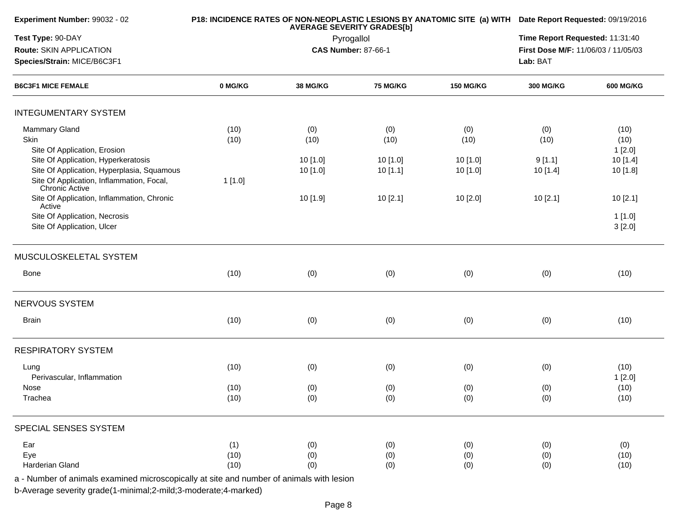| Experiment Number: 99032 - 02                                                            |         | <b>AVERAGE SEVERITY GRADES[b]</b> | P18: INCIDENCE RATES OF NON-NEOPLASTIC LESIONS BY ANATOMIC SITE (a) WITH Date Report Requested: 09/19/2016 |                  |                                     |                  |  |
|------------------------------------------------------------------------------------------|---------|-----------------------------------|------------------------------------------------------------------------------------------------------------|------------------|-------------------------------------|------------------|--|
| Test Type: 90-DAY                                                                        |         |                                   | Pyrogallol                                                                                                 |                  | Time Report Requested: 11:31:40     |                  |  |
| Route: SKIN APPLICATION                                                                  |         | <b>CAS Number: 87-66-1</b>        |                                                                                                            |                  | First Dose M/F: 11/06/03 / 11/05/03 |                  |  |
| Species/Strain: MICE/B6C3F1                                                              |         |                                   |                                                                                                            |                  | Lab: BAT                            |                  |  |
| <b>B6C3F1 MICE FEMALE</b>                                                                | 0 MG/KG | <b>38 MG/KG</b>                   | <b>75 MG/KG</b>                                                                                            | <b>150 MG/KG</b> | <b>300 MG/KG</b>                    | <b>600 MG/KG</b> |  |
| <b>INTEGUMENTARY SYSTEM</b>                                                              |         |                                   |                                                                                                            |                  |                                     |                  |  |
| Mammary Gland                                                                            | (10)    | (0)                               | (0)                                                                                                        | (0)              | (0)                                 | (10)             |  |
| Skin                                                                                     | (10)    | (10)                              | (10)                                                                                                       | (10)             | (10)                                | (10)             |  |
| Site Of Application, Erosion                                                             |         |                                   |                                                                                                            |                  |                                     | 1[2.0]           |  |
| Site Of Application, Hyperkeratosis                                                      |         | 10 [1.0]                          | 10 [1.0]                                                                                                   | 10 [1.0]         | 9[1.1]                              | 10 [1.4]         |  |
| Site Of Application, Hyperplasia, Squamous                                               |         | 10 [1.0]                          | 10[1.1]                                                                                                    | 10 [1.0]         | 10 [1.4]                            | 10 [1.8]         |  |
| Site Of Application, Inflammation, Focal,<br>Chronic Active                              | 1[1.0]  |                                   |                                                                                                            |                  |                                     |                  |  |
| Site Of Application, Inflammation, Chronic<br>Active                                     |         | 10 [1.9]                          | 10[2.1]                                                                                                    | 10 [2.0]         | 10[2.1]                             | 10[2.1]          |  |
| Site Of Application, Necrosis                                                            |         |                                   |                                                                                                            |                  |                                     | 1[1.0]           |  |
| Site Of Application, Ulcer                                                               |         |                                   |                                                                                                            |                  |                                     | 3[2.0]           |  |
| MUSCULOSKELETAL SYSTEM                                                                   |         |                                   |                                                                                                            |                  |                                     |                  |  |
| <b>Bone</b>                                                                              | (10)    | (0)                               | (0)                                                                                                        | (0)              | (0)                                 | (10)             |  |
| NERVOUS SYSTEM                                                                           |         |                                   |                                                                                                            |                  |                                     |                  |  |
| <b>Brain</b>                                                                             | (10)    | (0)                               | (0)                                                                                                        | (0)              | (0)                                 | (10)             |  |
| <b>RESPIRATORY SYSTEM</b>                                                                |         |                                   |                                                                                                            |                  |                                     |                  |  |
|                                                                                          |         |                                   |                                                                                                            |                  |                                     |                  |  |
| Lung                                                                                     | (10)    | (0)                               | (0)                                                                                                        | (0)              | (0)                                 | (10)             |  |
| Perivascular, Inflammation                                                               |         |                                   |                                                                                                            |                  |                                     | 1[2.0]           |  |
| Nose                                                                                     | (10)    | (0)                               | (0)                                                                                                        | (0)              | (0)                                 | (10)             |  |
| Trachea                                                                                  | (10)    | (0)                               | (0)                                                                                                        | (0)              | (0)                                 | (10)             |  |
| SPECIAL SENSES SYSTEM                                                                    |         |                                   |                                                                                                            |                  |                                     |                  |  |
| Ear                                                                                      | (1)     | (0)                               | (0)                                                                                                        | (0)              | (0)                                 | (0)              |  |
| Eye                                                                                      | (10)    | (0)                               | (0)                                                                                                        | (0)              | (0)                                 | (10)             |  |
| Harderian Gland                                                                          | (10)    | (0)                               | (0)                                                                                                        | (0)              | (0)                                 | (10)             |  |
| a - Number of animals examined microscopically at site and number of animals with lesion |         |                                   |                                                                                                            |                  |                                     |                  |  |